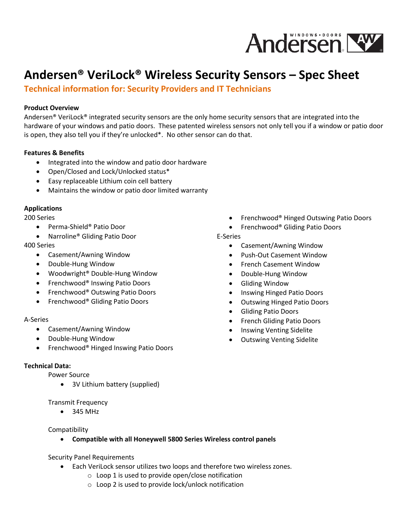

# **Andersen® VeriLock® Wireless Security Sensors – Spec Sheet**

**Technical information for: Security Providers and IT Technicians**

## **Product Overview**

Andersen® VeriLock® integrated security sensors are the only home security sensors that are integrated into the hardware of your windows and patio doors. These patented wireless sensors not only tell you if a window or patio door is open, they also tell you if they're unlocked\*. No other sensor can do that.

#### **Features & Benefits**

- Integrated into the window and patio door hardware
- Open/Closed and Lock/Unlocked status\*
- Easy replaceable Lithium coin cell battery
- Maintains the window or patio door limited warranty

#### **Applications**

200 Series

- Perma-Shield<sup>®</sup> Patio Door
- Narroline<sup>®</sup> Gliding Patio Door

## 400 Series

- Casement/Awning Window
- Double-Hung Window
- Woodwright<sup>®</sup> Double-Hung Window
- Frenchwood® Inswing Patio Doors
- Frenchwood® Outswing Patio Doors
- Frenchwood® Gliding Patio Doors

## A-Series

- Casement/Awning Window
- Double-Hung Window
- Frenchwood® Hinged Inswing Patio Doors

## **Technical Data:**

Power Source

• 3V Lithium battery (supplied)

Transmit Frequency

 $• 345 MHz$ 

Compatibility

- **Compatible with all Honeywell 5800 Series Wireless control panels**
- Security Panel Requirements
	- Each VeriLock sensor utilizes two loops and therefore two wireless zones.
		- o Loop 1 is used to provide open/close notification
		- o Loop 2 is used to provide lock/unlock notification
- Frenchwood® Hinged Outswing Patio Doors
- Frenchwood® Gliding Patio Doors

## E-Series

- Casement/Awning Window
- Push-Out Casement Window
- French Casement Window
- Double-Hung Window
- Gliding Window
- Inswing Hinged Patio Doors
- Outswing Hinged Patio Doors
- Gliding Patio Doors
- French Gliding Patio Doors
- Inswing Venting Sidelite
- Outswing Venting Sidelite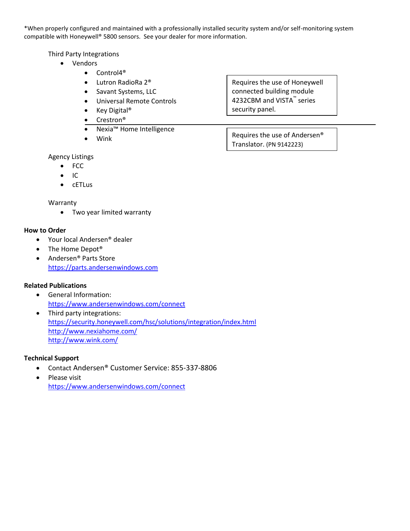\*When properly configured and maintained with a professionally installed security system and/or self-monitoring system compatible with Honeywell® 5800 sensors. See your dealer for more information.

## Third Party Integrations

- Vendors
	- Control4<sup>®</sup>
	- Lutron RadioRa 2<sup>®</sup>
	- Savant Systems, LLC
	- Universal Remote Controls
	- Key Digital®
	- Crestron®
	- Nexia™ Home Intelligence
	- Wink

Agency Listings

- FCC
- $\bullet$  IC
- cETLus

## Warranty

Two year limited warranty

## **How to Order**

- Your local Andersen<sup>®</sup> dealer
- The Home Depot<sup>®</sup>
- Andersen<sup>®</sup> Parts Store [https://parts.andersenwindows.com](https://parts.andersenwindows.com/)

## **Related Publications**

- General Information: <https://www.andersenwindows.com/connect>
- Third party integrations: <https://security.honeywell.com/hsc/solutions/integration/index.html> <http://www.nexiahome.com/> <http://www.wink.com/>

# **Technical Support**

- Contact Andersen® Customer Service: 855-337-8806
- Please visit <https://www.andersenwindows.com/connect>

Requires the use of Honeywell connected building module 4232CBM and VISTA™ series security panel.

Requires the use of Andersen® Translator. (PN 9142223)